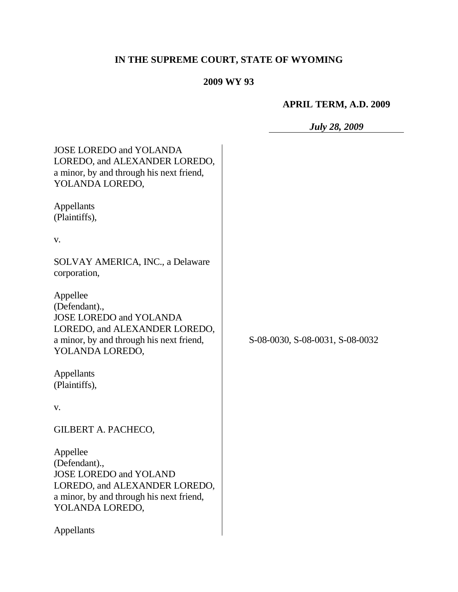# **IN THE SUPREME COURT, STATE OF WYOMING**

## **2009 WY 93**

## **APRIL TERM, A.D. 2009**

*July 28, 2009*

| <b>JOSE LOREDO and YOLANDA</b><br>LOREDO, and ALEXANDER LOREDO,<br>a minor, by and through his next friend,<br>YOLANDA LOREDO,                              |                                 |
|-------------------------------------------------------------------------------------------------------------------------------------------------------------|---------------------------------|
| Appellants<br>(Plaintiffs),                                                                                                                                 |                                 |
| V.                                                                                                                                                          |                                 |
| SOLVAY AMERICA, INC., a Delaware<br>corporation,                                                                                                            |                                 |
| Appellee<br>(Defendant).,<br><b>JOSE LOREDO and YOLANDA</b><br>LOREDO, and ALEXANDER LOREDO,<br>a minor, by and through his next friend,<br>YOLANDA LOREDO, | S-08-0030, S-08-0031, S-08-0032 |
| Appellants<br>(Plaintiffs),                                                                                                                                 |                                 |
| V.                                                                                                                                                          |                                 |
| <b>GILBERT A. PACHECO,</b>                                                                                                                                  |                                 |
| Appellee<br>(Defendant).,<br><b>JOSE LOREDO and YOLAND</b><br>LOREDO, and ALEXANDER LOREDO,<br>a minor, by and through his next friend,<br>YOLANDA LOREDO,  |                                 |
| Appellants                                                                                                                                                  |                                 |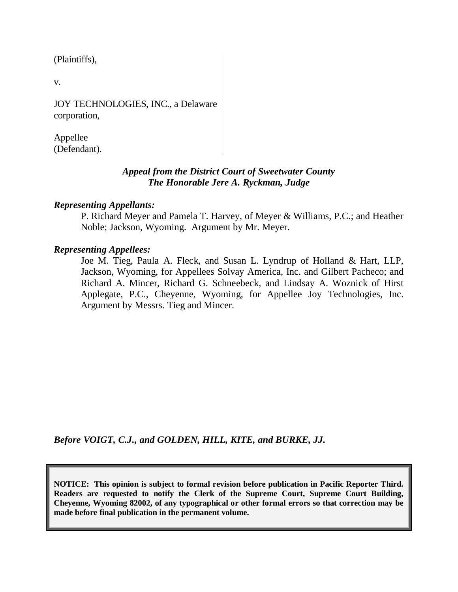(Plaintiffs),

v.

JOY TECHNOLOGIES, INC., a Delaware corporation,

Appellee (Defendant).

## *Appeal from the District Court of Sweetwater County The Honorable Jere A. Ryckman, Judge*

## *Representing Appellants:*

P. Richard Meyer and Pamela T. Harvey, of Meyer & Williams, P.C.; and Heather Noble; Jackson, Wyoming. Argument by Mr. Meyer.

### *Representing Appellees:*

Joe M. Tieg, Paula A. Fleck, and Susan L. Lyndrup of Holland & Hart, LLP, Jackson, Wyoming, for Appellees Solvay America, Inc. and Gilbert Pacheco; and Richard A. Mincer, Richard G. Schneebeck, and Lindsay A. Woznick of Hirst Applegate, P.C., Cheyenne, Wyoming, for Appellee Joy Technologies, Inc. Argument by Messrs. Tieg and Mincer.

*Before VOIGT, C.J., and GOLDEN, HILL, KITE, and BURKE, JJ.*

**NOTICE: This opinion is subject to formal revision before publication in Pacific Reporter Third. Readers are requested to notify the Clerk of the Supreme Court, Supreme Court Building, Cheyenne, Wyoming 82002, of any typographical or other formal errors so that correction may be made before final publication in the permanent volume.**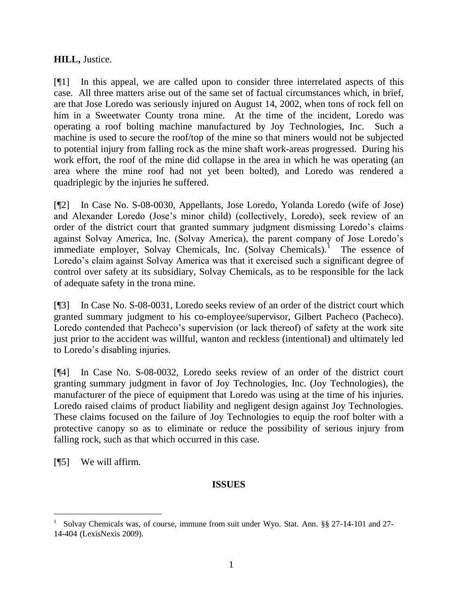## **HILL,** Justice.

[¶1] In this appeal, we are called upon to consider three interrelated aspects of this case. All three matters arise out of the same set of factual circumstances which, in brief, are that Jose Loredo was seriously injured on August 14, 2002, when tons of rock fell on him in a Sweetwater County trona mine. At the time of the incident, Loredo was operating a roof bolting machine manufactured by Joy Technologies, Inc. Such a machine is used to secure the roof/top of the mine so that miners would not be subjected to potential injury from falling rock as the mine shaft work-areas progressed. During his work effort, the roof of the mine did collapse in the area in which he was operating (an area where the mine roof had not yet been bolted), and Loredo was rendered a quadriplegic by the injuries he suffered.

[¶2] In Case No. S-08-0030, Appellants, Jose Loredo, Yolanda Loredo (wife of Jose) and Alexander Loredo (Jose"s minor child) (collectively, Loredo), seek review of an order of the district court that granted summary judgment dismissing Loredo"s claims against Solvay America, Inc. (Solvay America), the parent company of Jose Loredo"s immediate employer, Solvay Chemicals, Inc. (Solvay Chemicals).<sup>1</sup> The essence of Loredo's claim against Solvay America was that it exercised such a significant degree of control over safety at its subsidiary, Solvay Chemicals, as to be responsible for the lack of adequate safety in the trona mine.

[¶3] In Case No. S-08-0031, Loredo seeks review of an order of the district court which granted summary judgment to his co-employee/supervisor, Gilbert Pacheco (Pacheco). Loredo contended that Pacheco"s supervision (or lack thereof) of safety at the work site just prior to the accident was willful, wanton and reckless (intentional) and ultimately led to Loredo"s disabling injuries.

[¶4] In Case No. S-08-0032, Loredo seeks review of an order of the district court granting summary judgment in favor of Joy Technologies, Inc. (Joy Technologies), the manufacturer of the piece of equipment that Loredo was using at the time of his injuries. Loredo raised claims of product liability and negligent design against Joy Technologies. These claims focused on the failure of Joy Technologies to equip the roof bolter with a protective canopy so as to eliminate or reduce the possibility of serious injury from falling rock, such as that which occurred in this case.

[¶5] We will affirm.

 $\overline{a}$ 

## **ISSUES**

<sup>1</sup> Solvay Chemicals was, of course, immune from suit under Wyo. Stat. Ann. §§ 27-14-101 and 27- 14-404 (LexisNexis 2009).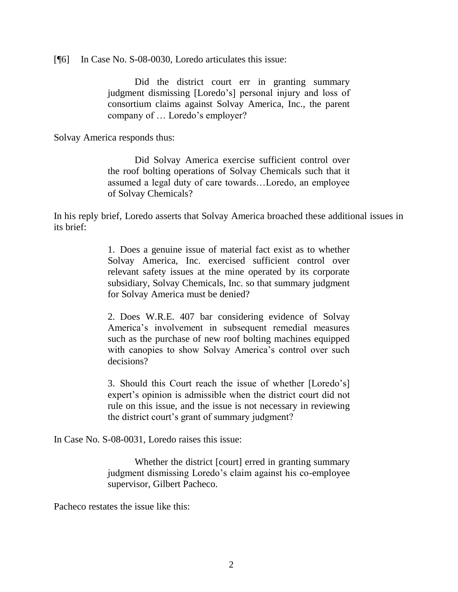[¶6] In Case No. S-08-0030, Loredo articulates this issue:

Did the district court err in granting summary judgment dismissing [Loredo"s] personal injury and loss of consortium claims against Solvay America, Inc., the parent company of … Loredo"s employer?

Solvay America responds thus:

Did Solvay America exercise sufficient control over the roof bolting operations of Solvay Chemicals such that it assumed a legal duty of care towards…Loredo, an employee of Solvay Chemicals?

In his reply brief, Loredo asserts that Solvay America broached these additional issues in its brief:

> 1. Does a genuine issue of material fact exist as to whether Solvay America, Inc. exercised sufficient control over relevant safety issues at the mine operated by its corporate subsidiary, Solvay Chemicals, Inc. so that summary judgment for Solvay America must be denied?

> 2. Does W.R.E. 407 bar considering evidence of Solvay America"s involvement in subsequent remedial measures such as the purchase of new roof bolting machines equipped with canopies to show Solvay America's control over such decisions?

> 3. Should this Court reach the issue of whether [Loredo"s] expert's opinion is admissible when the district court did not rule on this issue, and the issue is not necessary in reviewing the district court's grant of summary judgment?

In Case No. S-08-0031, Loredo raises this issue:

Whether the district [court] erred in granting summary judgment dismissing Loredo"s claim against his co-employee supervisor, Gilbert Pacheco.

Pacheco restates the issue like this: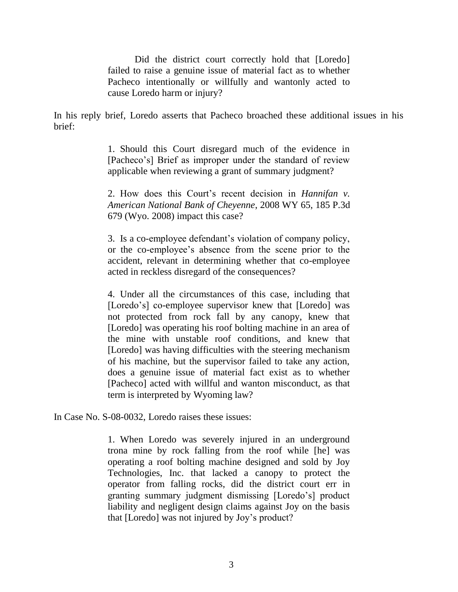Did the district court correctly hold that [Loredo] failed to raise a genuine issue of material fact as to whether Pacheco intentionally or willfully and wantonly acted to cause Loredo harm or injury?

In his reply brief, Loredo asserts that Pacheco broached these additional issues in his brief:

> 1. Should this Court disregard much of the evidence in [Pacheco"s] Brief as improper under the standard of review applicable when reviewing a grant of summary judgment?

> 2. How does this Court"s recent decision in *Hannifan v. American National Bank of Cheyenne*, 2008 WY 65, 185 P.3d 679 (Wyo. 2008) impact this case?

> 3. Is a co-employee defendant"s violation of company policy, or the co-employee"s absence from the scene prior to the accident, relevant in determining whether that co-employee acted in reckless disregard of the consequences?

> 4. Under all the circumstances of this case, including that [Loredo's] co-employee supervisor knew that [Loredo] was not protected from rock fall by any canopy, knew that [Loredo] was operating his roof bolting machine in an area of the mine with unstable roof conditions, and knew that [Loredo] was having difficulties with the steering mechanism of his machine, but the supervisor failed to take any action, does a genuine issue of material fact exist as to whether [Pacheco] acted with willful and wanton misconduct, as that term is interpreted by Wyoming law?

In Case No. S-08-0032, Loredo raises these issues:

1. When Loredo was severely injured in an underground trona mine by rock falling from the roof while [he] was operating a roof bolting machine designed and sold by Joy Technologies, Inc. that lacked a canopy to protect the operator from falling rocks, did the district court err in granting summary judgment dismissing [Loredo"s] product liability and negligent design claims against Joy on the basis that [Loredo] was not injured by Joy"s product?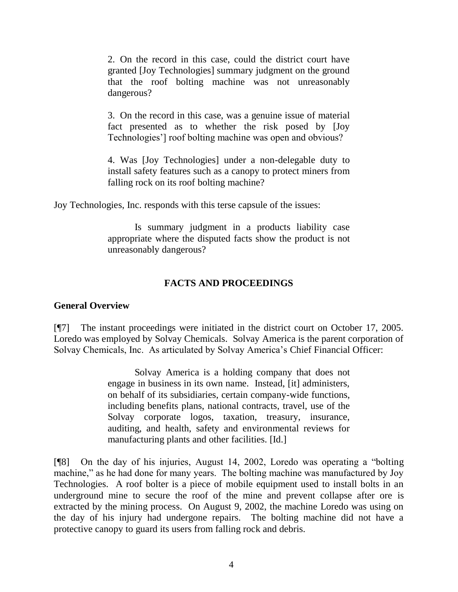2. On the record in this case, could the district court have granted [Joy Technologies] summary judgment on the ground that the roof bolting machine was not unreasonably dangerous?

3. On the record in this case, was a genuine issue of material fact presented as to whether the risk posed by [Joy Technologies"] roof bolting machine was open and obvious?

4. Was [Joy Technologies] under a non-delegable duty to install safety features such as a canopy to protect miners from falling rock on its roof bolting machine?

Joy Technologies, Inc. responds with this terse capsule of the issues:

Is summary judgment in a products liability case appropriate where the disputed facts show the product is not unreasonably dangerous?

## **FACTS AND PROCEEDINGS**

## **General Overview**

[¶7] The instant proceedings were initiated in the district court on October 17, 2005. Loredo was employed by Solvay Chemicals. Solvay America is the parent corporation of Solvay Chemicals, Inc. As articulated by Solvay America"s Chief Financial Officer:

> Solvay America is a holding company that does not engage in business in its own name. Instead, [it] administers, on behalf of its subsidiaries, certain company-wide functions, including benefits plans, national contracts, travel, use of the Solvay corporate logos, taxation, treasury, insurance, auditing, and health, safety and environmental reviews for manufacturing plants and other facilities. [Id.]

[¶8] On the day of his injuries, August 14, 2002, Loredo was operating a "bolting machine," as he had done for many years. The bolting machine was manufactured by Joy Technologies. A roof bolter is a piece of mobile equipment used to install bolts in an underground mine to secure the roof of the mine and prevent collapse after ore is extracted by the mining process. On August 9, 2002, the machine Loredo was using on the day of his injury had undergone repairs. The bolting machine did not have a protective canopy to guard its users from falling rock and debris.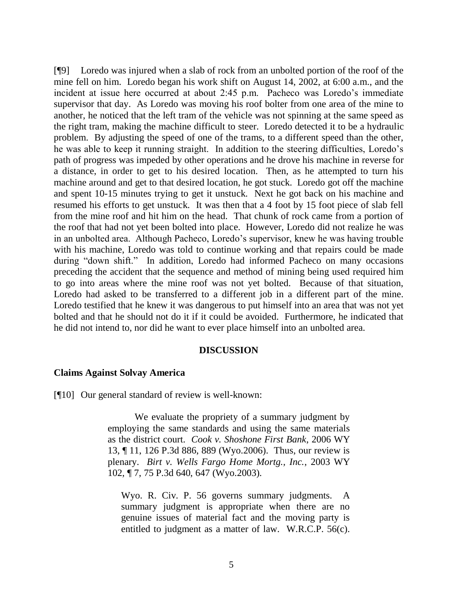[¶9] Loredo was injured when a slab of rock from an unbolted portion of the roof of the mine fell on him. Loredo began his work shift on August 14, 2002, at 6:00 a.m., and the incident at issue here occurred at about 2:45 p.m. Pacheco was Loredo"s immediate supervisor that day. As Loredo was moving his roof bolter from one area of the mine to another, he noticed that the left tram of the vehicle was not spinning at the same speed as the right tram, making the machine difficult to steer. Loredo detected it to be a hydraulic problem. By adjusting the speed of one of the trams, to a different speed than the other, he was able to keep it running straight. In addition to the steering difficulties, Loredo"s path of progress was impeded by other operations and he drove his machine in reverse for a distance, in order to get to his desired location. Then, as he attempted to turn his machine around and get to that desired location, he got stuck. Loredo got off the machine and spent 10-15 minutes trying to get it unstuck. Next he got back on his machine and resumed his efforts to get unstuck. It was then that a 4 foot by 15 foot piece of slab fell from the mine roof and hit him on the head. That chunk of rock came from a portion of the roof that had not yet been bolted into place. However, Loredo did not realize he was in an unbolted area. Although Pacheco, Loredo"s supervisor, knew he was having trouble with his machine, Loredo was told to continue working and that repairs could be made during "down shift." In addition, Loredo had informed Pacheco on many occasions preceding the accident that the sequence and method of mining being used required him to go into areas where the mine roof was not yet bolted. Because of that situation, Loredo had asked to be transferred to a different job in a different part of the mine. Loredo testified that he knew it was dangerous to put himself into an area that was not yet bolted and that he should not do it if it could be avoided. Furthermore, he indicated that he did not intend to, nor did he want to ever place himself into an unbolted area.

#### **DISCUSSION**

#### **Claims Against Solvay America**

[¶10] Our general standard of review is well-known:

We evaluate the propriety of a summary judgment by employing the same standards and using the same materials as the district court. *Cook v. Shoshone First Bank*, 2006 WY 13, ¶ 11, 126 P.3d 886, 889 (Wyo.2006). Thus, our review is plenary. *Birt v. Wells Fargo Home Mortg., Inc.*, 2003 WY 102, ¶ 7, 75 P.3d 640, 647 (Wyo.2003).

Wyo. R. Civ. P. 56 governs summary judgments. A summary judgment is appropriate when there are no genuine issues of material fact and the moving party is entitled to judgment as a matter of law. W.R.C.P. 56(c).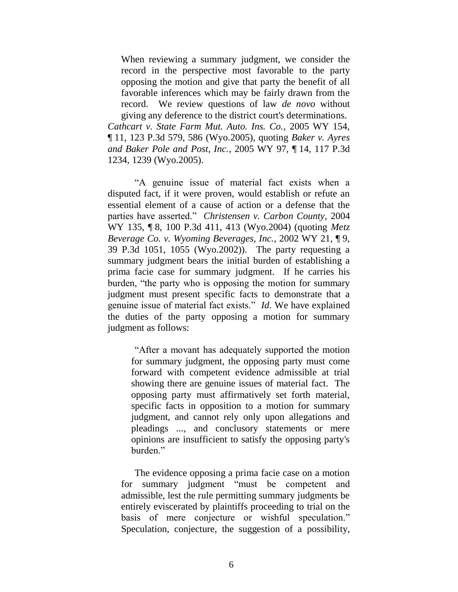When reviewing a summary judgment, we consider the record in the perspective most favorable to the party opposing the motion and give that party the benefit of all favorable inferences which may be fairly drawn from the record. We review questions of law *de novo* without giving any deference to the district court's determinations.

*Cathcart v. State Farm Mut. Auto. Ins. Co.*, 2005 WY 154, ¶ 11, 123 P.3d 579, 586 (Wyo.2005), quoting *Baker v. Ayres and Baker Pole and Post, Inc.*, 2005 WY 97, ¶ 14, 117 P.3d 1234, 1239 (Wyo.2005).

"A genuine issue of material fact exists when a disputed fact, if it were proven, would establish or refute an essential element of a cause of action or a defense that the parties have asserted." *Christensen v. Carbon County*, 2004 WY 135, ¶ 8, 100 P.3d 411, 413 (Wyo.2004) (quoting *Metz Beverage Co. v. Wyoming Beverages, Inc.*, 2002 WY 21, ¶ 9, 39 P.3d 1051, 1055 (Wyo.2002)). The party requesting a summary judgment bears the initial burden of establishing a prima facie case for summary judgment. If he carries his burden, "the party who is opposing the motion for summary judgment must present specific facts to demonstrate that a genuine issue of material fact exists." *Id*. We have explained the duties of the party opposing a motion for summary judgment as follows:

"After a movant has adequately supported the motion for summary judgment, the opposing party must come forward with competent evidence admissible at trial showing there are genuine issues of material fact. The opposing party must affirmatively set forth material, specific facts in opposition to a motion for summary judgment, and cannot rely only upon allegations and pleadings ..., and conclusory statements or mere opinions are insufficient to satisfy the opposing party's burden."

The evidence opposing a prima facie case on a motion for summary judgment "must be competent and admissible, lest the rule permitting summary judgments be entirely eviscerated by plaintiffs proceeding to trial on the basis of mere conjecture or wishful speculation." Speculation, conjecture, the suggestion of a possibility,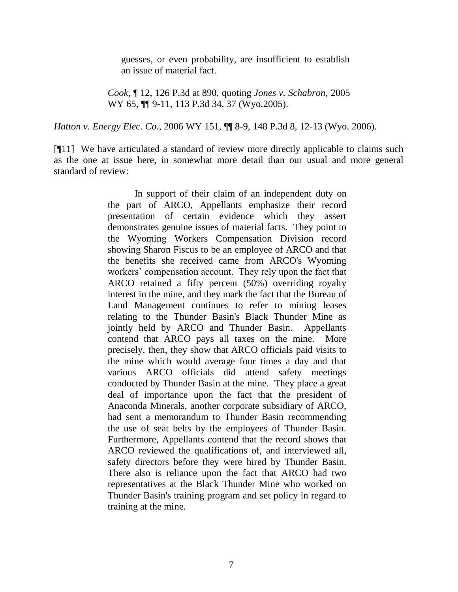guesses, or even probability, are insufficient to establish an issue of material fact.

*Cook*, ¶ 12, 126 P.3d at 890, quoting *Jones v. Schabron*, 2005 WY 65,  $\P$ [9-11, 113 P.3d 34, 37 (Wyo.2005).

*Hatton v. Energy Elec. Co.*, 2006 WY 151, ¶¶ 8-9, 148 P.3d 8, 12-13 (Wyo. 2006).

[¶11] We have articulated a standard of review more directly applicable to claims such as the one at issue here, in somewhat more detail than our usual and more general standard of review:

> In support of their claim of an independent duty on the part of ARCO, Appellants emphasize their record presentation of certain evidence which they assert demonstrates genuine issues of material facts. They point to the Wyoming Workers Compensation Division record showing Sharon Fiscus to be an employee of ARCO and that the benefits she received came from ARCO's Wyoming workers' compensation account. They rely upon the fact that ARCO retained a fifty percent (50%) overriding royalty interest in the mine, and they mark the fact that the Bureau of Land Management continues to refer to mining leases relating to the Thunder Basin's Black Thunder Mine as jointly held by ARCO and Thunder Basin. Appellants contend that ARCO pays all taxes on the mine. More precisely, then, they show that ARCO officials paid visits to the mine which would average four times a day and that various ARCO officials did attend safety meetings conducted by Thunder Basin at the mine. They place a great deal of importance upon the fact that the president of Anaconda Minerals, another corporate subsidiary of ARCO, had sent a memorandum to Thunder Basin recommending the use of seat belts by the employees of Thunder Basin. Furthermore, Appellants contend that the record shows that ARCO reviewed the qualifications of, and interviewed all, safety directors before they were hired by Thunder Basin. There also is reliance upon the fact that ARCO had two representatives at the Black Thunder Mine who worked on Thunder Basin's training program and set policy in regard to training at the mine.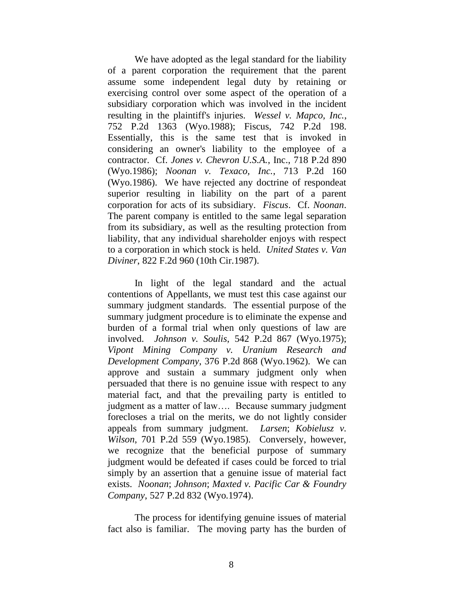We have adopted as the legal standard for the liability of a parent corporation the requirement that the parent assume some independent legal duty by retaining or exercising control over some aspect of the operation of a subsidiary corporation which was involved in the incident resulting in the plaintiff's injuries. *Wessel v. Mapco, Inc.*, 752 P.2d 1363 (Wyo.1988); Fiscus, 742 P.2d 198. Essentially, this is the same test that is invoked in considering an owner's liability to the employee of a contractor. Cf. *Jones v. Chevron U.S.A.*, Inc., 718 P.2d 890 (Wyo.1986); *Noonan v. Texaco, Inc.*, 713 P.2d 160 (Wyo.1986). We have rejected any doctrine of respondeat superior resulting in liability on the part of a parent corporation for acts of its subsidiary. *Fiscus*. Cf. *Noonan*. The parent company is entitled to the same legal separation from its subsidiary, as well as the resulting protection from liability, that any individual shareholder enjoys with respect to a corporation in which stock is held. *United States v. Van Diviner*, 822 F.2d 960 (10th Cir.1987).

In light of the legal standard and the actual contentions of Appellants, we must test this case against our summary judgment standards. The essential purpose of the summary judgment procedure is to eliminate the expense and burden of a formal trial when only questions of law are involved. *Johnson v. Soulis*, 542 P.2d 867 (Wyo.1975); *Vipont Mining Company v. Uranium Research and Development Company*, 376 P.2d 868 (Wyo.1962). We can approve and sustain a summary judgment only when persuaded that there is no genuine issue with respect to any material fact, and that the prevailing party is entitled to judgment as a matter of law…. Because summary judgment forecloses a trial on the merits, we do not lightly consider appeals from summary judgment. *Larsen*; *Kobielusz v. Wilson*, 701 P.2d 559 (Wyo.1985). Conversely, however, we recognize that the beneficial purpose of summary judgment would be defeated if cases could be forced to trial simply by an assertion that a genuine issue of material fact exists. *Noonan*; *Johnson*; *Maxted v. Pacific Car & Foundry Company*, 527 P.2d 832 (Wyo.1974).

The process for identifying genuine issues of material fact also is familiar. The moving party has the burden of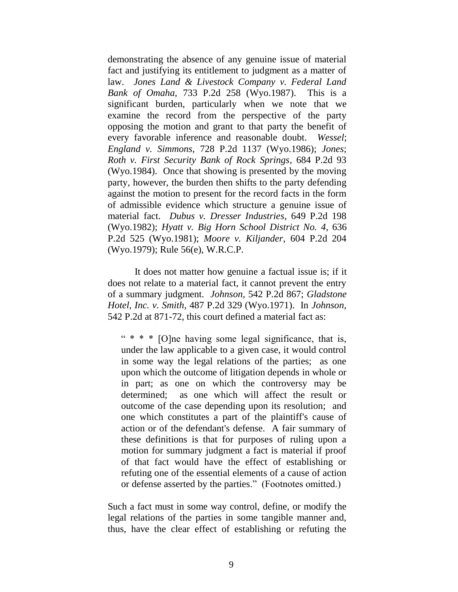demonstrating the absence of any genuine issue of material fact and justifying its entitlement to judgment as a matter of law. *Jones Land & Livestock Company v. Federal Land Bank of Omaha*, 733 P.2d 258 (Wyo.1987). This is a significant burden, particularly when we note that we examine the record from the perspective of the party opposing the motion and grant to that party the benefit of every favorable inference and reasonable doubt. *Wessel*; *England v. Simmons*, 728 P.2d 1137 (Wyo.1986); *Jones*; *Roth v. First Security Bank of Rock Springs*, 684 P.2d 93 (Wyo.1984). Once that showing is presented by the moving party, however, the burden then shifts to the party defending against the motion to present for the record facts in the form of admissible evidence which structure a genuine issue of material fact. *Dubus v. Dresser Industries*, 649 P.2d 198 (Wyo.1982); *Hyatt v. Big Horn School District No. 4*, 636 P.2d 525 (Wyo.1981); *Moore v. Kiljander*, 604 P.2d 204 (Wyo.1979); Rule 56(e), W.R.C.P.

It does not matter how genuine a factual issue is; if it does not relate to a material fact, it cannot prevent the entry of a summary judgment. *Johnson*, 542 P.2d 867; *Gladstone Hotel, Inc. v. Smith*, 487 P.2d 329 (Wyo.1971). In *Johnson*, 542 P.2d at 871-72, this court defined a material fact as:

"  $* * * [O]$ ne having some legal significance, that is, under the law applicable to a given case, it would control in some way the legal relations of the parties; as one upon which the outcome of litigation depends in whole or in part; as one on which the controversy may be determined; as one which will affect the result or outcome of the case depending upon its resolution; and one which constitutes a part of the plaintiff's cause of action or of the defendant's defense. A fair summary of these definitions is that for purposes of ruling upon a motion for summary judgment a fact is material if proof of that fact would have the effect of establishing or refuting one of the essential elements of a cause of action or defense asserted by the parties." (Footnotes omitted.)

Such a fact must in some way control, define, or modify the legal relations of the parties in some tangible manner and, thus, have the clear effect of establishing or refuting the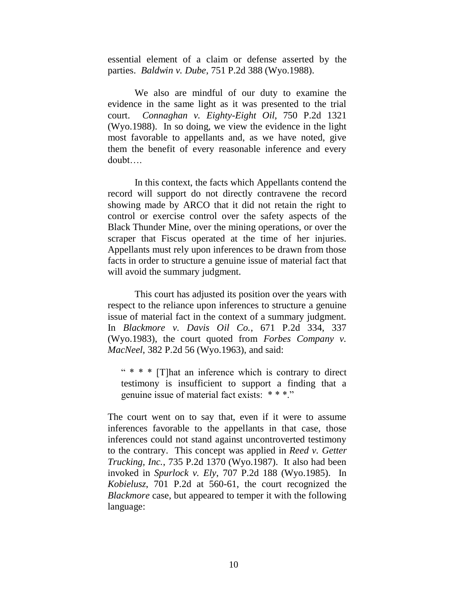essential element of a claim or defense asserted by the parties. *Baldwin v. Dube*, 751 P.2d 388 (Wyo.1988).

We also are mindful of our duty to examine the evidence in the same light as it was presented to the trial court. *Connaghan v. Eighty-Eight Oil*, 750 P.2d 1321 (Wyo.1988). In so doing, we view the evidence in the light most favorable to appellants and, as we have noted, give them the benefit of every reasonable inference and every doubt….

In this context, the facts which Appellants contend the record will support do not directly contravene the record showing made by ARCO that it did not retain the right to control or exercise control over the safety aspects of the Black Thunder Mine, over the mining operations, or over the scraper that Fiscus operated at the time of her injuries. Appellants must rely upon inferences to be drawn from those facts in order to structure a genuine issue of material fact that will avoid the summary judgment.

This court has adjusted its position over the years with respect to the reliance upon inferences to structure a genuine issue of material fact in the context of a summary judgment. In *Blackmore v. Davis Oil Co.*, 671 P.2d 334, 337 (Wyo.1983), the court quoted from *Forbes Company v. MacNeel*, 382 P.2d 56 (Wyo.1963), and said:

" \* \* \* [T]hat an inference which is contrary to direct testimony is insufficient to support a finding that a genuine issue of material fact exists: \* \* \*."

The court went on to say that, even if it were to assume inferences favorable to the appellants in that case, those inferences could not stand against uncontroverted testimony to the contrary. This concept was applied in *Reed v. Getter Trucking, Inc.*, 735 P.2d 1370 (Wyo.1987). It also had been invoked in *Spurlock v. Ely*, 707 P.2d 188 (Wyo.1985). In *Kobielusz*, 701 P.2d at 560-61, the court recognized the *Blackmore* case, but appeared to temper it with the following language: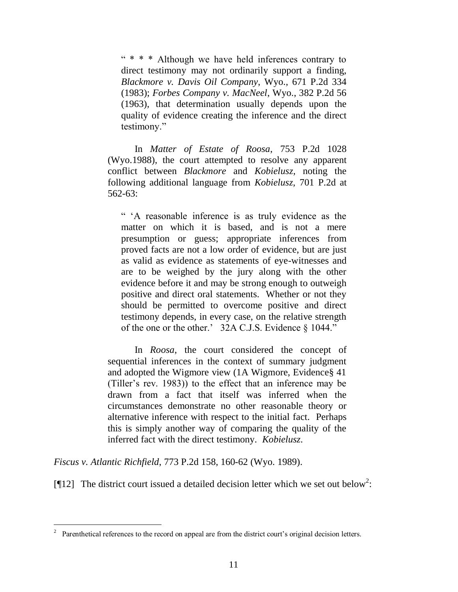" \* \* \* Although we have held inferences contrary to direct testimony may not ordinarily support a finding, *Blackmore v. Davis Oil Company*, Wyo., 671 P.2d 334 (1983); *Forbes Company v. MacNeel*, Wyo., 382 P.2d 56 (1963), that determination usually depends upon the quality of evidence creating the inference and the direct testimony."

In *Matter of Estate of Roosa*, 753 P.2d 1028 (Wyo.1988), the court attempted to resolve any apparent conflict between *Blackmore* and *Kobielusz*, noting the following additional language from *Kobielusz*, 701 P.2d at 562-63:

" "A reasonable inference is as truly evidence as the matter on which it is based, and is not a mere presumption or guess; appropriate inferences from proved facts are not a low order of evidence, but are just as valid as evidence as statements of eye-witnesses and are to be weighed by the jury along with the other evidence before it and may be strong enough to outweigh positive and direct oral statements. Whether or not they should be permitted to overcome positive and direct testimony depends, in every case, on the relative strength of the one or the other." 32A C.J.S. Evidence § 1044."

In *Roosa*, the court considered the concept of sequential inferences in the context of summary judgment and adopted the Wigmore view (1A Wigmore, Evidence§ 41 (Tiller"s rev. 1983)) to the effect that an inference may be drawn from a fact that itself was inferred when the circumstances demonstrate no other reasonable theory or alternative inference with respect to the initial fact. Perhaps this is simply another way of comparing the quality of the inferred fact with the direct testimony. *Kobielusz*.

*Fiscus v. Atlantic Richfield*, 773 P.2d 158, 160-62 (Wyo. 1989).

 $\overline{a}$ 

[ $[12]$  The district court issued a detailed decision letter which we set out below<sup>2</sup>:

<sup>2</sup> Parenthetical references to the record on appeal are from the district court's original decision letters.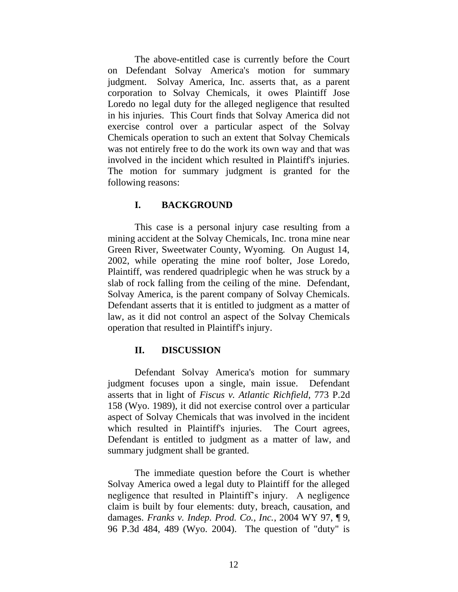The above-entitled case is currently before the Court on Defendant Solvay America's motion for summary judgment. Solvay America, Inc. asserts that, as a parent corporation to Solvay Chemicals, it owes Plaintiff Jose Loredo no legal duty for the alleged negligence that resulted in his injuries. This Court finds that Solvay America did not exercise control over a particular aspect of the Solvay Chemicals operation to such an extent that Solvay Chemicals was not entirely free to do the work its own way and that was involved in the incident which resulted in Plaintiff's injuries. The motion for summary judgment is granted for the following reasons:

#### **I. BACKGROUND**

This case is a personal injury case resulting from a mining accident at the Solvay Chemicals, Inc. trona mine near Green River, Sweetwater County, Wyoming. On August 14, 2002, while operating the mine roof bolter, Jose Loredo, Plaintiff, was rendered quadriplegic when he was struck by a slab of rock falling from the ceiling of the mine. Defendant, Solvay America, is the parent company of Solvay Chemicals. Defendant asserts that it is entitled to judgment as a matter of law, as it did not control an aspect of the Solvay Chemicals operation that resulted in Plaintiff's injury.

#### **II. DISCUSSION**

Defendant Solvay America's motion for summary judgment focuses upon a single, main issue. Defendant asserts that in light of *Fiscus v. Atlantic Richfield*, 773 P.2d 158 (Wyo. 1989), it did not exercise control over a particular aspect of Solvay Chemicals that was involved in the incident which resulted in Plaintiff's injuries. The Court agrees, Defendant is entitled to judgment as a matter of law, and summary judgment shall be granted.

The immediate question before the Court is whether Solvay America owed a legal duty to Plaintiff for the alleged negligence that resulted in Plaintiff"s injury. A negligence claim is built by four elements: duty, breach, causation, and damages. *Franks v. Indep. Prod. Co., Inc.*, 2004 WY 97, ¶ 9, 96 P.3d 484, 489 (Wyo. 2004). The question of "duty" is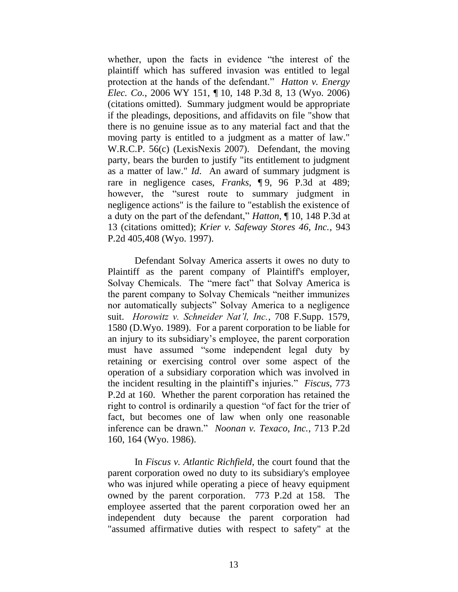whether, upon the facts in evidence "the interest of the plaintiff which has suffered invasion was entitled to legal protection at the hands of the defendant." *Hatton v. Energy Elec. Co.*, 2006 WY 151, ¶ 10, 148 P.3d 8, 13 (Wyo. 2006) (citations omitted). Summary judgment would be appropriate if the pleadings, depositions, and affidavits on file "show that there is no genuine issue as to any material fact and that the moving party is entitled to a judgment as a matter of law." W.R.C.P. 56(c) (LexisNexis 2007). Defendant, the moving party, bears the burden to justify "its entitlement to judgment as a matter of law." *Id*. An award of summary judgment is rare in negligence cases, *Franks*, ¶ 9, 96 P.3d at 489; however, the "surest route to summary judgment in negligence actions" is the failure to "establish the existence of a duty on the part of the defendant," *Hatton*, ¶ 10, 148 P.3d at 13 (citations omitted); *Krier v. Safeway Stores 46, Inc.*, 943 P.2d 405,408 (Wyo. 1997).

Defendant Solvay America asserts it owes no duty to Plaintiff as the parent company of Plaintiff's employer, Solvay Chemicals. The "mere fact" that Solvay America is the parent company to Solvay Chemicals "neither immunizes nor automatically subjects" Solvay America to a negligence suit. *Horowitz v. Schneider Nat'l, Inc.*, 708 F.Supp. 1579, 1580 (D.Wyo. 1989). For a parent corporation to be liable for an injury to its subsidiary"s employee, the parent corporation must have assumed "some independent legal duty by retaining or exercising control over some aspect of the operation of a subsidiary corporation which was involved in the incident resulting in the plaintiff"s injuries." *Fiscus*, 773 P.2d at 160. Whether the parent corporation has retained the right to control is ordinarily a question "of fact for the trier of fact, but becomes one of law when only one reasonable inference can be drawn." *Noonan v. Texaco, Inc.*, 713 P.2d 160, 164 (Wyo. 1986).

In *Fiscus v. Atlantic Richfield*, the court found that the parent corporation owed no duty to its subsidiary's employee who was injured while operating a piece of heavy equipment owned by the parent corporation. 773 P.2d at 158. The employee asserted that the parent corporation owed her an independent duty because the parent corporation had "assumed affirmative duties with respect to safety" at the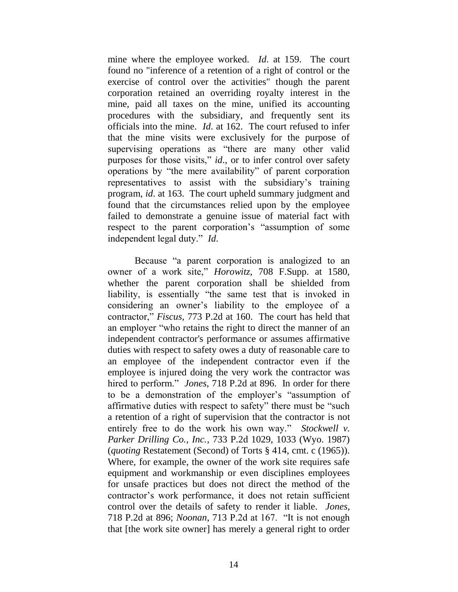mine where the employee worked. *Id*. at 159. The court found no "inference of a retention of a right of control or the exercise of control over the activities" though the parent corporation retained an overriding royalty interest in the mine, paid all taxes on the mine, unified its accounting procedures with the subsidiary, and frequently sent its officials into the mine. *Id*. at 162. The court refused to infer that the mine visits were exclusively for the purpose of supervising operations as "there are many other valid purposes for those visits," *id*., or to infer control over safety operations by "the mere availability" of parent corporation representatives to assist with the subsidiary"s training program, *id*. at 163. The court upheld summary judgment and found that the circumstances relied upon by the employee failed to demonstrate a genuine issue of material fact with respect to the parent corporation"s "assumption of some independent legal duty." *Id*.

Because "a parent corporation is analogized to an owner of a work site," *Horowitz*, 708 F.Supp. at 1580, whether the parent corporation shall be shielded from liability, is essentially "the same test that is invoked in considering an owner"s liability to the employee of a contractor," *Fiscus*, 773 P.2d at 160. The court has held that an employer "who retains the right to direct the manner of an independent contractor's performance or assumes affirmative duties with respect to safety owes a duty of reasonable care to an employee of the independent contractor even if the employee is injured doing the very work the contractor was hired to perform." *Jones*, 718 P.2d at 896. In order for there to be a demonstration of the employer"s "assumption of affirmative duties with respect to safety" there must be "such a retention of a right of supervision that the contractor is not entirely free to do the work his own way." *Stockwell v. Parker Drilling Co., Inc.*, 733 P.2d 1029, 1033 (Wyo. 1987) (*quoting* Restatement (Second) of Torts § 414, cmt. c (1965)). Where, for example, the owner of the work site requires safe equipment and workmanship or even disciplines employees for unsafe practices but does not direct the method of the contractor"s work performance, it does not retain sufficient control over the details of safety to render it liable. *Jones*, 718 P.2d at 896; *Noonan*, 713 P.2d at 167. "It is not enough that [the work site owner] has merely a general right to order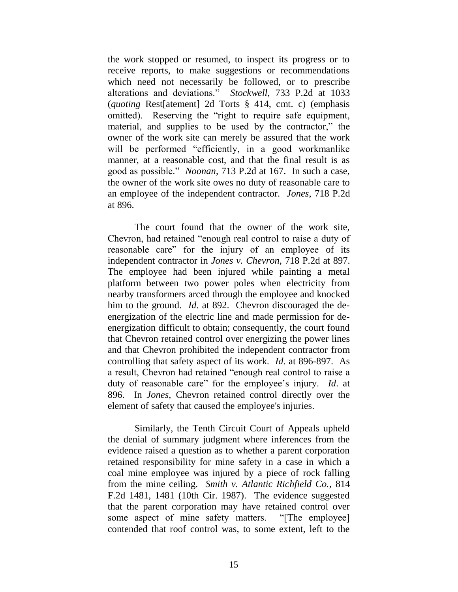the work stopped or resumed, to inspect its progress or to receive reports, to make suggestions or recommendations which need not necessarily be followed, or to prescribe alterations and deviations." *Stockwell*, 733 P.2d at 1033 (*quoting* Rest[atement] 2d Torts § 414, cmt. c) (emphasis omitted). Reserving the "right to require safe equipment, material, and supplies to be used by the contractor," the owner of the work site can merely be assured that the work will be performed "efficiently, in a good workmanlike manner, at a reasonable cost, and that the final result is as good as possible." *Noonan*, 713 P.2d at 167. In such a case, the owner of the work site owes no duty of reasonable care to an employee of the independent contractor. *Jones*, 718 P.2d at 896.

The court found that the owner of the work site, Chevron, had retained "enough real control to raise a duty of reasonable care" for the injury of an employee of its independent contractor in *Jones v. Chevron*, 718 P.2d at 897. The employee had been injured while painting a metal platform between two power poles when electricity from nearby transformers arced through the employee and knocked him to the ground. *Id*. at 892. Chevron discouraged the deenergization of the electric line and made permission for deenergization difficult to obtain; consequently, the court found that Chevron retained control over energizing the power lines and that Chevron prohibited the independent contractor from controlling that safety aspect of its work. *Id*. at 896-897. As a result, Chevron had retained "enough real control to raise a duty of reasonable care" for the employee"s injury. *Id*. at 896. In *Jones*, Chevron retained control directly over the element of safety that caused the employee's injuries.

Similarly, the Tenth Circuit Court of Appeals upheld the denial of summary judgment where inferences from the evidence raised a question as to whether a parent corporation retained responsibility for mine safety in a case in which a coal mine employee was injured by a piece of rock falling from the mine ceiling. *Smith v. Atlantic Richfield Co.*, 814 F.2d 1481, 1481 (10th Cir. 1987). The evidence suggested that the parent corporation may have retained control over some aspect of mine safety matters. "[The employee] contended that roof control was, to some extent, left to the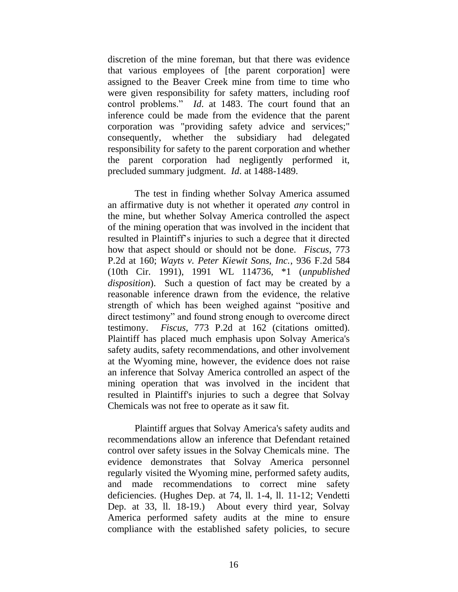discretion of the mine foreman, but that there was evidence that various employees of [the parent corporation] were assigned to the Beaver Creek mine from time to time who were given responsibility for safety matters, including roof control problems." *Id*. at 1483. The court found that an inference could be made from the evidence that the parent corporation was "providing safety advice and services;" consequently, whether the subsidiary had delegated responsibility for safety to the parent corporation and whether the parent corporation had negligently performed it, precluded summary judgment. *Id*. at 1488-1489.

The test in finding whether Solvay America assumed an affirmative duty is not whether it operated *any* control in the mine, but whether Solvay America controlled the aspect of the mining operation that was involved in the incident that resulted in Plaintiff"s injuries to such a degree that it directed how that aspect should or should not be done. *Fiscus*, 773 P.2d at 160; *Wayts v. Peter Kiewit Sons, Inc.*, 936 F.2d 584 (10th Cir. 1991), 1991 WL 114736, \*1 (*unpublished disposition*). Such a question of fact may be created by a reasonable inference drawn from the evidence, the relative strength of which has been weighed against "positive and direct testimony" and found strong enough to overcome direct testimony. *Fiscus*, 773 P.2d at 162 (citations omitted). Plaintiff has placed much emphasis upon Solvay America's safety audits, safety recommendations, and other involvement at the Wyoming mine, however, the evidence does not raise an inference that Solvay America controlled an aspect of the mining operation that was involved in the incident that resulted in Plaintiff's injuries to such a degree that Solvay Chemicals was not free to operate as it saw fit.

Plaintiff argues that Solvay America's safety audits and recommendations allow an inference that Defendant retained control over safety issues in the Solvay Chemicals mine. The evidence demonstrates that Solvay America personnel regularly visited the Wyoming mine, performed safety audits, and made recommendations to correct mine safety deficiencies. (Hughes Dep. at 74, ll. 1-4, ll. 11-12; Vendetti Dep. at 33, ll. 18-19.) About every third year, Solvay America performed safety audits at the mine to ensure compliance with the established safety policies, to secure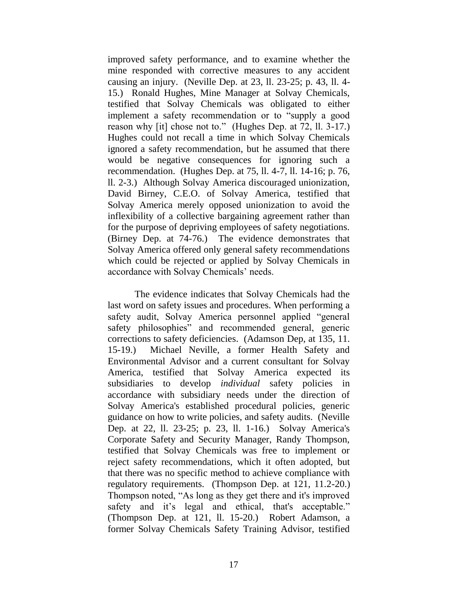improved safety performance, and to examine whether the mine responded with corrective measures to any accident causing an injury. (Neville Dep. at 23, ll. 23-25; p. 43, ll. 4- 15.) Ronald Hughes, Mine Manager at Solvay Chemicals, testified that Solvay Chemicals was obligated to either implement a safety recommendation or to "supply a good reason why [it] chose not to." (Hughes Dep. at 72, ll. 3-17.) Hughes could not recall a time in which Solvay Chemicals ignored a safety recommendation, but he assumed that there would be negative consequences for ignoring such a recommendation. (Hughes Dep. at 75, ll. 4-7, ll. 14-16; p. 76, ll. 2-3.) Although Solvay America discouraged unionization, David Birney, C.E.O. of Solvay America, testified that Solvay America merely opposed unionization to avoid the inflexibility of a collective bargaining agreement rather than for the purpose of depriving employees of safety negotiations. (Birney Dep. at 74-76.) The evidence demonstrates that Solvay America offered only general safety recommendations which could be rejected or applied by Solvay Chemicals in accordance with Solvay Chemicals' needs.

The evidence indicates that Solvay Chemicals had the last word on safety issues and procedures. When performing a safety audit, Solvay America personnel applied "general safety philosophies" and recommended general, generic corrections to safety deficiencies. (Adamson Dep, at 135, 11. 15-19.) Michael Neville, a former Health Safety and Environmental Advisor and a current consultant for Solvay America, testified that Solvay America expected its subsidiaries to develop *individual* safety policies in accordance with subsidiary needs under the direction of Solvay America's established procedural policies, generic guidance on how to write policies, and safety audits. (Neville Dep. at 22, ll. 23-25; p. 23, ll. 1-16.) Solvay America's Corporate Safety and Security Manager, Randy Thompson, testified that Solvay Chemicals was free to implement or reject safety recommendations, which it often adopted, but that there was no specific method to achieve compliance with regulatory requirements. (Thompson Dep. at 121, 11.2-20.) Thompson noted, "As long as they get there and it's improved safety and it's legal and ethical, that's acceptable." (Thompson Dep. at 121, ll. 15-20.) Robert Adamson, a former Solvay Chemicals Safety Training Advisor, testified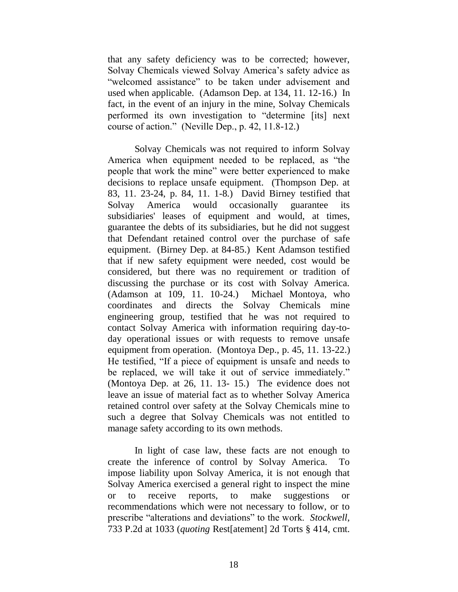that any safety deficiency was to be corrected; however, Solvay Chemicals viewed Solvay America"s safety advice as "welcomed assistance" to be taken under advisement and used when applicable. (Adamson Dep. at 134, 11. 12-16.) In fact, in the event of an injury in the mine, Solvay Chemicals performed its own investigation to "determine [its] next course of action." (Neville Dep., p. 42, 11.8-12.)

Solvay Chemicals was not required to inform Solvay America when equipment needed to be replaced, as "the people that work the mine" were better experienced to make decisions to replace unsafe equipment. (Thompson Dep. at 83, 11. 23-24, p. 84, 11. 1-8.) David Birney testified that Solvay America would occasionally guarantee its subsidiaries' leases of equipment and would, at times, guarantee the debts of its subsidiaries, but he did not suggest that Defendant retained control over the purchase of safe equipment. (Birney Dep. at 84-85.) Kent Adamson testified that if new safety equipment were needed, cost would be considered, but there was no requirement or tradition of discussing the purchase or its cost with Solvay America. (Adamson at 109, 11. 10-24.) Michael Montoya, who coordinates and directs the Solvay Chemicals mine engineering group, testified that he was not required to contact Solvay America with information requiring day-today operational issues or with requests to remove unsafe equipment from operation. (Montoya Dep., p. 45, 11. 13-22.) He testified, "If a piece of equipment is unsafe and needs to be replaced, we will take it out of service immediately." (Montoya Dep. at 26, 11. 13- 15.) The evidence does not leave an issue of material fact as to whether Solvay America retained control over safety at the Solvay Chemicals mine to such a degree that Solvay Chemicals was not entitled to manage safety according to its own methods.

In light of case law, these facts are not enough to create the inference of control by Solvay America. To impose liability upon Solvay America, it is not enough that Solvay America exercised a general right to inspect the mine or to receive reports, to make suggestions or recommendations which were not necessary to follow, or to prescribe "alterations and deviations" to the work. *Stockwell*, 733 P.2d at 1033 (*quoting* Rest[atement] 2d Torts § 414, cmt.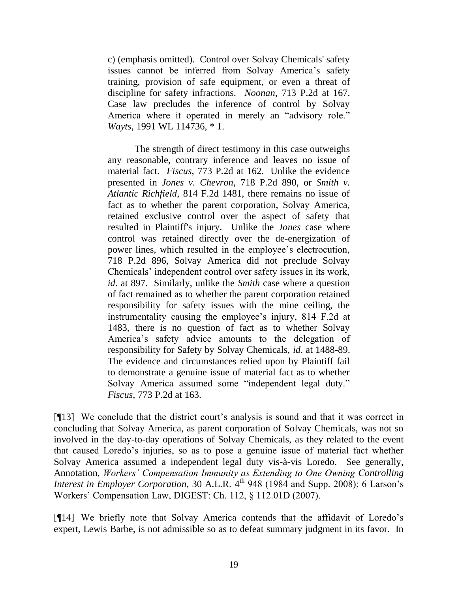c) (emphasis omitted). Control over Solvay Chemicals' safety issues cannot be inferred from Solvay America's safety training, provision of safe equipment, or even a threat of discipline for safety infractions. *Noonan*, 713 P.2d at 167. Case law precludes the inference of control by Solvay America where it operated in merely an "advisory role." *Wayts*, 1991 WL 114736, \* 1.

The strength of direct testimony in this case outweighs any reasonable, contrary inference and leaves no issue of material fact. *Fiscus*, 773 P.2d at 162. Unlike the evidence presented in *Jones v. Chevron*, 718 P.2d 890, or *Smith v. Atlantic Richfield*, 814 F.2d 1481, there remains no issue of fact as to whether the parent corporation, Solvay America, retained exclusive control over the aspect of safety that resulted in Plaintiff's injury. Unlike the *Jones* case where control was retained directly over the de-energization of power lines, which resulted in the employee's electrocution, 718 P.2d 896, Solvay America did not preclude Solvay Chemicals" independent control over safety issues in its work, *id*. at 897. Similarly, unlike the *Smith* case where a question of fact remained as to whether the parent corporation retained responsibility for safety issues with the mine ceiling, the instrumentality causing the employee"s injury, 814 F.2d at 1483, there is no question of fact as to whether Solvay America"s safety advice amounts to the delegation of responsibility for Safety by Solvay Chemicals, *id*. at 1488-89. The evidence and circumstances relied upon by Plaintiff fail to demonstrate a genuine issue of material fact as to whether Solvay America assumed some "independent legal duty." *Fiscus*, 773 P.2d at 163.

[113] We conclude that the district court's analysis is sound and that it was correct in concluding that Solvay America, as parent corporation of Solvay Chemicals, was not so involved in the day-to-day operations of Solvay Chemicals, as they related to the event that caused Loredo"s injuries, so as to pose a genuine issue of material fact whether Solvay America assumed a independent legal duty vis-à-vis Loredo. See generally, Annotation, *Workers' Compensation Immunity as Extending to One Owning Controlling Interest in Employer Corporation*, 30 A.L.R. 4<sup>th</sup> 948 (1984 and Supp. 2008); 6 Larson's Workers" Compensation Law, DIGEST: Ch. 112, § 112.01D (2007).

[¶14] We briefly note that Solvay America contends that the affidavit of Loredo"s expert, Lewis Barbe, is not admissible so as to defeat summary judgment in its favor. In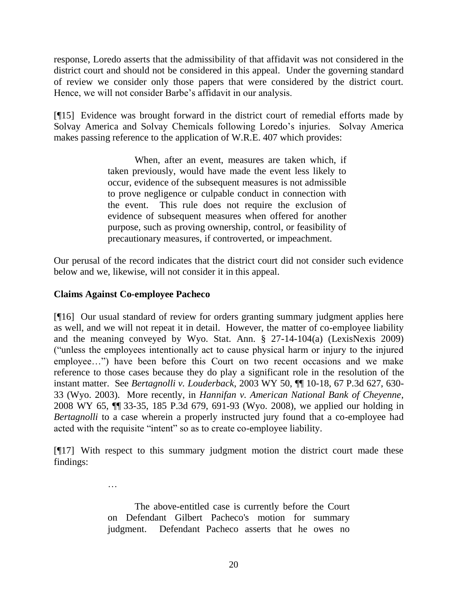response, Loredo asserts that the admissibility of that affidavit was not considered in the district court and should not be considered in this appeal. Under the governing standard of review we consider only those papers that were considered by the district court. Hence, we will not consider Barbe's affidavit in our analysis.

[¶15] Evidence was brought forward in the district court of remedial efforts made by Solvay America and Solvay Chemicals following Loredo"s injuries. Solvay America makes passing reference to the application of W.R.E. 407 which provides:

> When, after an event, measures are taken which, if taken previously, would have made the event less likely to occur, evidence of the subsequent measures is not admissible to prove negligence or culpable conduct in connection with the event. This rule does not require the exclusion of evidence of subsequent measures when offered for another purpose, such as proving ownership, control, or feasibility of precautionary measures, if controverted, or impeachment.

Our perusal of the record indicates that the district court did not consider such evidence below and we, likewise, will not consider it in this appeal.

## **Claims Against Co-employee Pacheco**

…

[¶16] Our usual standard of review for orders granting summary judgment applies here as well, and we will not repeat it in detail. However, the matter of co-employee liability and the meaning conveyed by Wyo. Stat. Ann. § 27-14-104(a) (LexisNexis 2009) ("unless the employees intentionally act to cause physical harm or injury to the injured employee…") have been before this Court on two recent occasions and we make reference to those cases because they do play a significant role in the resolution of the instant matter. See *Bertagnolli v. Louderback*, 2003 WY 50, ¶¶ 10-18, 67 P.3d 627, 630- 33 (Wyo. 2003). More recently, in *Hannifan v. American National Bank of Cheyenne*, 2008 WY 65, ¶¶ 33-35, 185 P.3d 679, 691-93 (Wyo. 2008), we applied our holding in *Bertagnolli* to a case wherein a properly instructed jury found that a co-employee had acted with the requisite "intent" so as to create co-employee liability.

[¶17] With respect to this summary judgment motion the district court made these findings:

> The above-entitled case is currently before the Court on Defendant Gilbert Pacheco's motion for summary judgment. Defendant Pacheco asserts that he owes no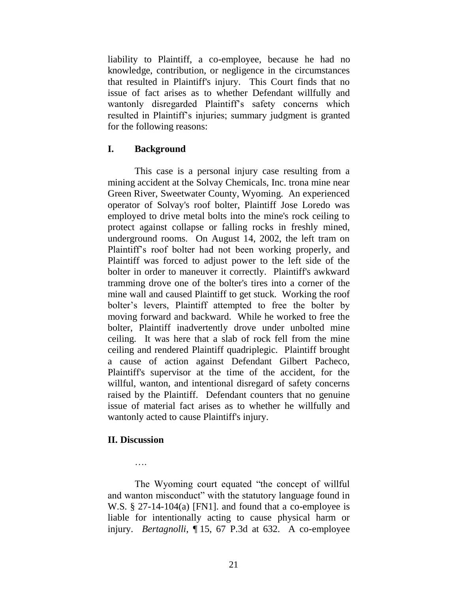liability to Plaintiff, a co-employee, because he had no knowledge, contribution, or negligence in the circumstances that resulted in Plaintiff's injury. This Court finds that no issue of fact arises as to whether Defendant willfully and wantonly disregarded Plaintiff"s safety concerns which resulted in Plaintiff"s injuries; summary judgment is granted for the following reasons:

### **I. Background**

This case is a personal injury case resulting from a mining accident at the Solvay Chemicals, Inc. trona mine near Green River, Sweetwater County, Wyoming. An experienced operator of Solvay's roof bolter, Plaintiff Jose Loredo was employed to drive metal bolts into the mine's rock ceiling to protect against collapse or falling rocks in freshly mined, underground rooms. On August 14, 2002, the left tram on Plaintiff"s roof bolter had not been working properly, and Plaintiff was forced to adjust power to the left side of the bolter in order to maneuver it correctly. Plaintiff's awkward tramming drove one of the bolter's tires into a corner of the mine wall and caused Plaintiff to get stuck. Working the roof bolter's levers, Plaintiff attempted to free the bolter by moving forward and backward. While he worked to free the bolter, Plaintiff inadvertently drove under unbolted mine ceiling. It was here that a slab of rock fell from the mine ceiling and rendered Plaintiff quadriplegic. Plaintiff brought a cause of action against Defendant Gilbert Pacheco, Plaintiff's supervisor at the time of the accident, for the willful, wanton, and intentional disregard of safety concerns raised by the Plaintiff. Defendant counters that no genuine issue of material fact arises as to whether he willfully and wantonly acted to cause Plaintiff's injury.

### **II. Discussion**

….

The Wyoming court equated "the concept of willful and wanton misconduct" with the statutory language found in W.S. § 27-14-104(a) [FN1]. and found that a co-employee is liable for intentionally acting to cause physical harm or injury. *Bertagnolli*, ¶ 15, 67 P.3d at 632. A co-employee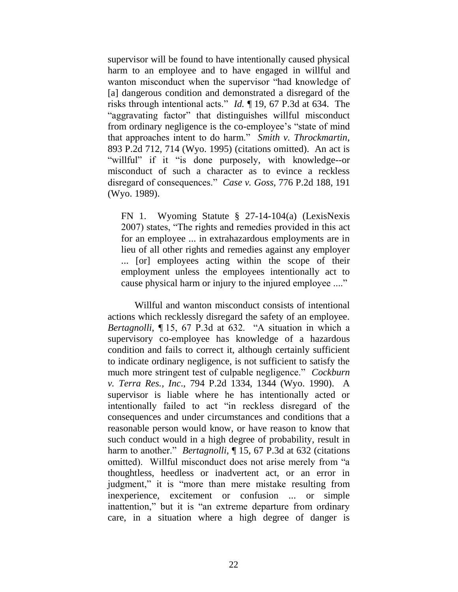supervisor will be found to have intentionally caused physical harm to an employee and to have engaged in willful and wanton misconduct when the supervisor "had knowledge of [a] dangerous condition and demonstrated a disregard of the risks through intentional acts." *Id.* ¶ 19, 67 P.3d at 634. The "aggravating factor" that distinguishes willful misconduct from ordinary negligence is the co-employee"s "state of mind that approaches intent to do harm." *Smith v. Throckmartin*, 893 P.2d 712, 714 (Wyo. 1995) (citations omitted). An act is "willful" if it "is done purposely, with knowledge--or misconduct of such a character as to evince a reckless disregard of consequences." *Case v. Goss*, 776 P.2d 188, 191 (Wyo. 1989).

FN 1. Wyoming Statute § 27-14-104(a) (LexisNexis 2007) states, "The rights and remedies provided in this act for an employee ... in extrahazardous employments are in lieu of all other rights and remedies against any employer ... [or] employees acting within the scope of their employment unless the employees intentionally act to cause physical harm or injury to the injured employee ...."

Willful and wanton misconduct consists of intentional actions which recklessly disregard the safety of an employee. *Bertagnolli*, ¶ 15, 67 P.3d at 632. "A situation in which a supervisory co-employee has knowledge of a hazardous condition and fails to correct it, although certainly sufficient to indicate ordinary negligence, is not sufficient to satisfy the much more stringent test of culpable negligence." *Cockburn v. Terra Res., Inc*., 794 P.2d 1334, 1344 (Wyo. 1990). A supervisor is liable where he has intentionally acted or intentionally failed to act "in reckless disregard of the consequences and under circumstances and conditions that a reasonable person would know, or have reason to know that such conduct would in a high degree of probability, result in harm to another." *Bertagnolli*, 15, 67 P.3d at 632 (citations omitted). Willful misconduct does not arise merely from "a thoughtless, heedless or inadvertent act, or an error in judgment," it is "more than mere mistake resulting from inexperience, excitement or confusion ... or simple inattention," but it is "an extreme departure from ordinary care, in a situation where a high degree of danger is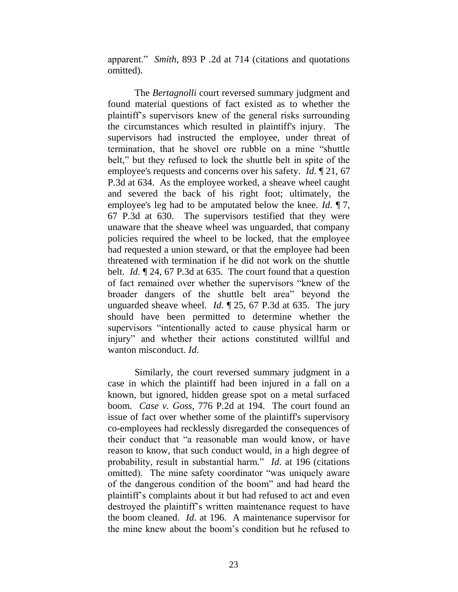apparent." *Smith*, 893 P .2d at 714 (citations and quotations omitted).

The *Bertagnolli* court reversed summary judgment and found material questions of fact existed as to whether the plaintiff"s supervisors knew of the general risks surrounding the circumstances which resulted in plaintiff's injury. The supervisors had instructed the employee, under threat of termination, that he shovel ore rubble on a mine "shuttle belt," but they refused to lock the shuttle belt in spite of the employee's requests and concerns over his safety. *Id*. ¶ 21, 67 P.3d at 634. As the employee worked, a sheave wheel caught and severed the back of his right foot; ultimately, the employee's leg had to be amputated below the knee. *Id*. ¶ 7, 67 P.3d at 630. The supervisors testified that they were unaware that the sheave wheel was unguarded, that company policies required the wheel to be locked, that the employee had requested a union steward, or that the employee had been threatened with termination if he did not work on the shuttle belt. *Id*. ¶ 24, 67 P.3d at 635. The court found that a question of fact remained over whether the supervisors "knew of the broader dangers of the shuttle belt area" beyond the unguarded sheave wheel. *Id*. ¶ 25, 67 P.3d at 635. The jury should have been permitted to determine whether the supervisors "intentionally acted to cause physical harm or injury" and whether their actions constituted willful and wanton misconduct. *Id*.

Similarly, the court reversed summary judgment in a case in which the plaintiff had been injured in a fall on a known, but ignored, hidden grease spot on a metal surfaced boom. *Case v. Goss*, 776 P.2d at 194. The court found an issue of fact over whether some of the plaintiff's supervisory co-employees had recklessly disregarded the consequences of their conduct that "a reasonable man would know, or have reason to know, that such conduct would, in a high degree of probability, result in substantial harm." *Id*. at 196 (citations omitted). The mine safety coordinator "was uniquely aware of the dangerous condition of the boom" and had heard the plaintiff"s complaints about it but had refused to act and even destroyed the plaintiff"s written maintenance request to have the boom cleaned. *Id*. at 196. A maintenance supervisor for the mine knew about the boom"s condition but he refused to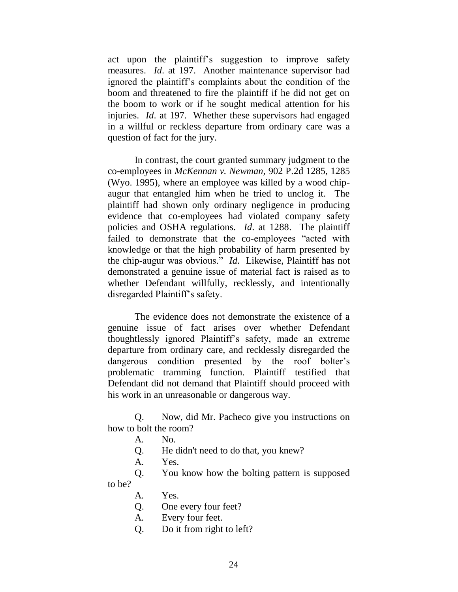act upon the plaintiff"s suggestion to improve safety measures. *Id*. at 197. Another maintenance supervisor had ignored the plaintiff"s complaints about the condition of the boom and threatened to fire the plaintiff if he did not get on the boom to work or if he sought medical attention for his injuries. *Id*. at 197. Whether these supervisors had engaged in a willful or reckless departure from ordinary care was a question of fact for the jury.

In contrast, the court granted summary judgment to the co-employees in *McKennan v. Newman*, 902 P.2d 1285, 1285 (Wyo. 1995), where an employee was killed by a wood chipaugur that entangled him when he tried to unclog it. The plaintiff had shown only ordinary negligence in producing evidence that co-employees had violated company safety policies and OSHA regulations. *Id*. at 1288. The plaintiff failed to demonstrate that the co-employees "acted with knowledge or that the high probability of harm presented by the chip-augur was obvious." *Id*. Likewise, Plaintiff has not demonstrated a genuine issue of material fact is raised as to whether Defendant willfully, recklessly, and intentionally disregarded Plaintiff"s safety.

The evidence does not demonstrate the existence of a genuine issue of fact arises over whether Defendant thoughtlessly ignored Plaintiff"s safety, made an extreme departure from ordinary care, and recklessly disregarded the dangerous condition presented by the roof bolter's problematic tramming function. Plaintiff testified that Defendant did not demand that Plaintiff should proceed with his work in an unreasonable or dangerous way.

Q. Now, did Mr. Pacheco give you instructions on how to bolt the room?

- A. No.
- Q. He didn't need to do that, you knew?
- A. Yes.

Q. You know how the bolting pattern is supposed to be?

- A. Yes.
- Q. One every four feet?
- A. Every four feet.
- Q. Do it from right to left?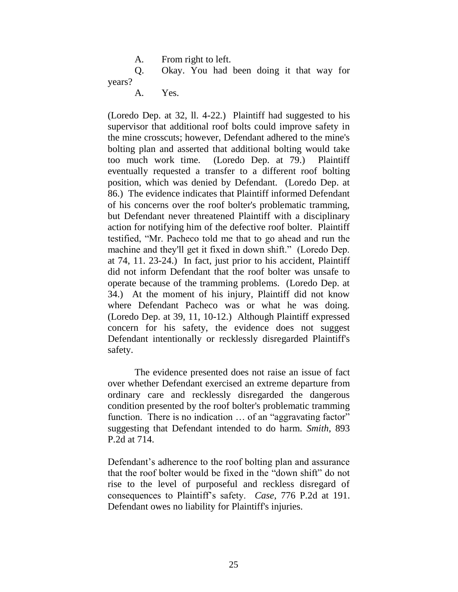A. From right to left.

Q. Okay. You had been doing it that way for years?

A. Yes.

(Loredo Dep. at 32, ll. 4-22.) Plaintiff had suggested to his supervisor that additional roof bolts could improve safety in the mine crosscuts; however, Defendant adhered to the mine's bolting plan and asserted that additional bolting would take too much work time. (Loredo Dep. at 79.) Plaintiff eventually requested a transfer to a different roof bolting position, which was denied by Defendant. (Loredo Dep. at 86.) The evidence indicates that Plaintiff informed Defendant of his concerns over the roof bolter's problematic tramming, but Defendant never threatened Plaintiff with a disciplinary action for notifying him of the defective roof bolter. Plaintiff testified, "Mr. Pacheco told me that to go ahead and run the machine and they'll get it fixed in down shift." (Loredo Dep. at 74, 11. 23-24.) In fact, just prior to his accident, Plaintiff did not inform Defendant that the roof bolter was unsafe to operate because of the tramming problems. (Loredo Dep. at 34.) At the moment of his injury, Plaintiff did not know where Defendant Pacheco was or what he was doing. (Loredo Dep. at 39, 11, 10-12.) Although Plaintiff expressed concern for his safety, the evidence does not suggest Defendant intentionally or recklessly disregarded Plaintiff's safety.

The evidence presented does not raise an issue of fact over whether Defendant exercised an extreme departure from ordinary care and recklessly disregarded the dangerous condition presented by the roof bolter's problematic tramming function. There is no indication ... of an "aggravating factor" suggesting that Defendant intended to do harm. *Smith*, 893 P.2d at 714.

Defendant's adherence to the roof bolting plan and assurance that the roof bolter would be fixed in the "down shift" do not rise to the level of purposeful and reckless disregard of consequences to Plaintiff"s safety. *Case*, 776 P.2d at 191. Defendant owes no liability for Plaintiff's injuries.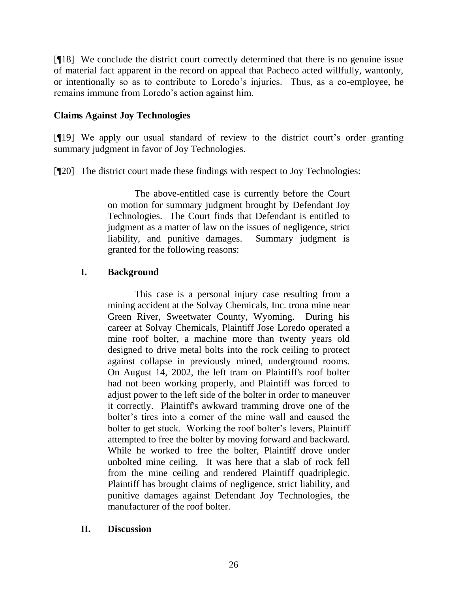[¶18] We conclude the district court correctly determined that there is no genuine issue of material fact apparent in the record on appeal that Pacheco acted willfully, wantonly, or intentionally so as to contribute to Loredo"s injuries. Thus, as a co-employee, he remains immune from Loredo"s action against him.

## **Claims Against Joy Technologies**

[¶19] We apply our usual standard of review to the district court"s order granting summary judgment in favor of Joy Technologies.

[¶20] The district court made these findings with respect to Joy Technologies:

The above-entitled case is currently before the Court on motion for summary judgment brought by Defendant Joy Technologies. The Court finds that Defendant is entitled to judgment as a matter of law on the issues of negligence, strict liability, and punitive damages. Summary judgment is granted for the following reasons:

## **I. Background**

This case is a personal injury case resulting from a mining accident at the Solvay Chemicals, Inc. trona mine near Green River, Sweetwater County, Wyoming. During his career at Solvay Chemicals, Plaintiff Jose Loredo operated a mine roof bolter, a machine more than twenty years old designed to drive metal bolts into the rock ceiling to protect against collapse in previously mined, underground rooms. On August 14, 2002, the left tram on Plaintiff's roof bolter had not been working properly, and Plaintiff was forced to adjust power to the left side of the bolter in order to maneuver it correctly. Plaintiff's awkward tramming drove one of the bolter's tires into a corner of the mine wall and caused the bolter to get stuck. Working the roof bolter's levers, Plaintiff attempted to free the bolter by moving forward and backward. While he worked to free the bolter, Plaintiff drove under unbolted mine ceiling. It was here that a slab of rock fell from the mine ceiling and rendered Plaintiff quadriplegic. Plaintiff has brought claims of negligence, strict liability, and punitive damages against Defendant Joy Technologies, the manufacturer of the roof bolter.

### **II. Discussion**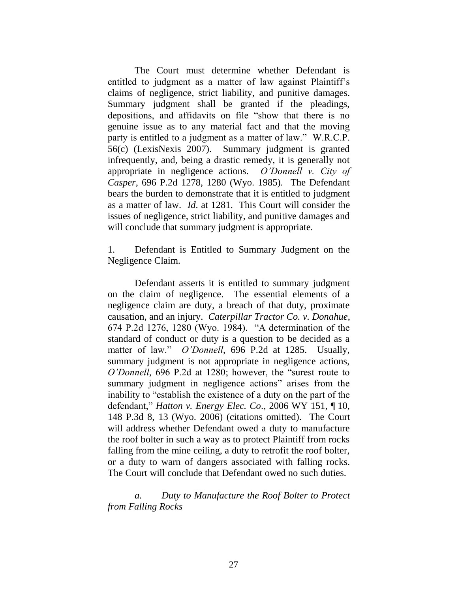The Court must determine whether Defendant is entitled to judgment as a matter of law against Plaintiff's claims of negligence, strict liability, and punitive damages. Summary judgment shall be granted if the pleadings, depositions, and affidavits on file "show that there is no genuine issue as to any material fact and that the moving party is entitled to a judgment as a matter of law." W.R.C.P. 56(c) (LexisNexis 2007). Summary judgment is granted infrequently, and, being a drastic remedy, it is generally not appropriate in negligence actions. *O'Donnell v. City of Casper*, 696 P.2d 1278, 1280 (Wyo. 1985). The Defendant bears the burden to demonstrate that it is entitled to judgment as a matter of law. *Id*. at 1281. This Court will consider the issues of negligence, strict liability, and punitive damages and will conclude that summary judgment is appropriate.

1. Defendant is Entitled to Summary Judgment on the Negligence Claim.

Defendant asserts it is entitled to summary judgment on the claim of negligence. The essential elements of a negligence claim are duty, a breach of that duty, proximate causation, and an injury. *Caterpillar Tractor Co. v. Donahue*, 674 P.2d 1276, 1280 (Wyo. 1984). "A determination of the standard of conduct or duty is a question to be decided as a matter of law." *O'Donnell*, 696 P.2d at 1285. Usually, summary judgment is not appropriate in negligence actions, *O'Donnell*, 696 P.2d at 1280; however, the "surest route to summary judgment in negligence actions" arises from the inability to "establish the existence of a duty on the part of the defendant," *Hatton v. Energy Elec. Co*., 2006 WY 151, ¶ 10, 148 P.3d 8, 13 (Wyo. 2006) (citations omitted). The Court will address whether Defendant owed a duty to manufacture the roof bolter in such a way as to protect Plaintiff from rocks falling from the mine ceiling, a duty to retrofit the roof bolter, or a duty to warn of dangers associated with falling rocks. The Court will conclude that Defendant owed no such duties.

*a. Duty to Manufacture the Roof Bolter to Protect from Falling Rocks*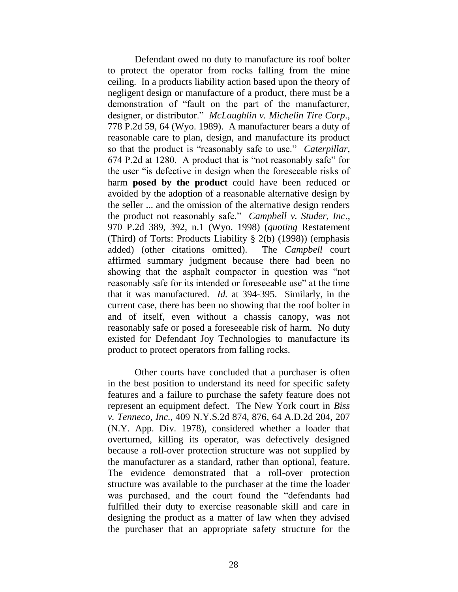Defendant owed no duty to manufacture its roof bolter to protect the operator from rocks falling from the mine ceiling. In a products liability action based upon the theory of negligent design or manufacture of a product, there must be a demonstration of "fault on the part of the manufacturer, designer, or distributor." *McLaughlin v. Michelin Tire Corp*., 778 P.2d 59, 64 (Wyo. 1989). A manufacturer bears a duty of reasonable care to plan, design, and manufacture its product so that the product is "reasonably safe to use." *Caterpillar*, 674 P.2d at 1280. A product that is "not reasonably safe" for the user "is defective in design when the foreseeable risks of harm **posed by the product** could have been reduced or avoided by the adoption of a reasonable alternative design by the seller ... and the omission of the alternative design renders the product not reasonably safe." *Campbell v. Studer, Inc*., 970 P.2d 389, 392, n.1 (Wyo. 1998) (*quoting* Restatement (Third) of Torts: Products Liability § 2(b) (1998)) (emphasis added) (other citations omitted). The *Campbell* court affirmed summary judgment because there had been no showing that the asphalt compactor in question was "not reasonably safe for its intended or foreseeable use" at the time that it was manufactured. *Id.* at 394-395. Similarly, in the current case, there has been no showing that the roof bolter in and of itself, even without a chassis canopy, was not reasonably safe or posed a foreseeable risk of harm. No duty existed for Defendant Joy Technologies to manufacture its product to protect operators from falling rocks.

Other courts have concluded that a purchaser is often in the best position to understand its need for specific safety features and a failure to purchase the safety feature does not represent an equipment defect. The New York court in *Biss v. Tenneco, Inc*., 409 N.Y.S.2d 874, 876, 64 A.D.2d 204, 207 (N.Y. App. Div. 1978), considered whether a loader that overturned, killing its operator, was defectively designed because a roll-over protection structure was not supplied by the manufacturer as a standard, rather than optional, feature. The evidence demonstrated that a roll-over protection structure was available to the purchaser at the time the loader was purchased, and the court found the "defendants had fulfilled their duty to exercise reasonable skill and care in designing the product as a matter of law when they advised the purchaser that an appropriate safety structure for the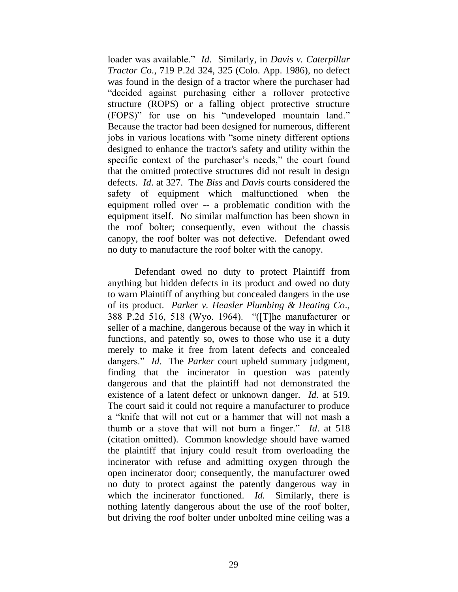loader was available." *Id*. Similarly, in *Davis v. Caterpillar Tractor Co*., 719 P.2d 324, 325 (Colo. App. 1986), no defect was found in the design of a tractor where the purchaser had "decided against purchasing either a rollover protective structure (ROPS) or a falling object protective structure (FOPS)" for use on his "undeveloped mountain land." Because the tractor had been designed for numerous, different jobs in various locations with "some ninety different options designed to enhance the tractor's safety and utility within the specific context of the purchaser's needs," the court found that the omitted protective structures did not result in design defects. *Id*. at 327. The *Biss* and *Davis* courts considered the safety of equipment which malfunctioned when the equipment rolled over -- a problematic condition with the equipment itself. No similar malfunction has been shown in the roof bolter; consequently, even without the chassis canopy, the roof bolter was not defective. Defendant owed no duty to manufacture the roof bolter with the canopy.

Defendant owed no duty to protect Plaintiff from anything but hidden defects in its product and owed no duty to warn Plaintiff of anything but concealed dangers in the use of its product. *Parker v. Heasler Plumbing & Heating Co*., 388 P.2d 516, 518 (Wyo. 1964). "([T]he manufacturer or seller of a machine, dangerous because of the way in which it functions, and patently so, owes to those who use it a duty merely to make it free from latent defects and concealed dangers." *Id*. The *Parker* court upheld summary judgment, finding that the incinerator in question was patently dangerous and that the plaintiff had not demonstrated the existence of a latent defect or unknown danger. *Id*. at 519. The court said it could not require a manufacturer to produce a "knife that will not cut or a hammer that will not mash a thumb or a stove that will not burn a finger." *Id*. at 518 (citation omitted). Common knowledge should have warned the plaintiff that injury could result from overloading the incinerator with refuse and admitting oxygen through the open incinerator door; consequently, the manufacturer owed no duty to protect against the patently dangerous way in which the incinerator functioned. *Id.* Similarly, there is nothing latently dangerous about the use of the roof bolter, but driving the roof bolter under unbolted mine ceiling was a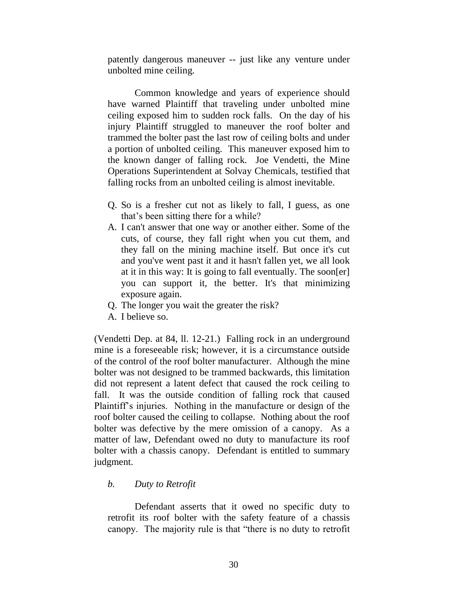patently dangerous maneuver -- just like any venture under unbolted mine ceiling.

Common knowledge and years of experience should have warned Plaintiff that traveling under unbolted mine ceiling exposed him to sudden rock falls. On the day of his injury Plaintiff struggled to maneuver the roof bolter and trammed the bolter past the last row of ceiling bolts and under a portion of unbolted ceiling. This maneuver exposed him to the known danger of falling rock. Joe Vendetti, the Mine Operations Superintendent at Solvay Chemicals, testified that falling rocks from an unbolted ceiling is almost inevitable.

- Q. So is a fresher cut not as likely to fall, I guess, as one that"s been sitting there for a while?
- A. I can't answer that one way or another either. Some of the cuts, of course, they fall right when you cut them, and they fall on the mining machine itself. But once it's cut and you've went past it and it hasn't fallen yet, we all look at it in this way: It is going to fall eventually. The soon[er] you can support it, the better. It's that minimizing exposure again.
- Q. The longer you wait the greater the risk?
- A. I believe so.

(Vendetti Dep. at 84, ll. 12-21.) Falling rock in an underground mine is a foreseeable risk; however, it is a circumstance outside of the control of the roof bolter manufacturer. Although the mine bolter was not designed to be trammed backwards, this limitation did not represent a latent defect that caused the rock ceiling to fall. It was the outside condition of falling rock that caused Plaintiff's injuries. Nothing in the manufacture or design of the roof bolter caused the ceiling to collapse. Nothing about the roof bolter was defective by the mere omission of a canopy. As a matter of law, Defendant owed no duty to manufacture its roof bolter with a chassis canopy. Defendant is entitled to summary judgment.

#### *b. Duty to Retrofit*

Defendant asserts that it owed no specific duty to retrofit its roof bolter with the safety feature of a chassis canopy. The majority rule is that "there is no duty to retrofit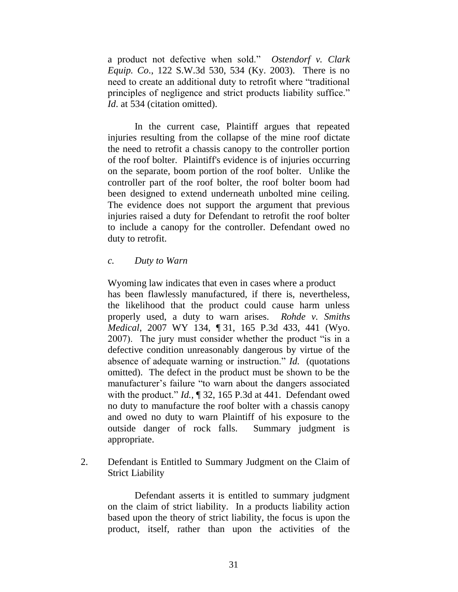a product not defective when sold." *Ostendorf v. Clark Equip. Co*., 122 S.W.3d 530, 534 (Ky. 2003). There is no need to create an additional duty to retrofit where "traditional principles of negligence and strict products liability suffice." *Id.* at 534 (citation omitted).

In the current case, Plaintiff argues that repeated injuries resulting from the collapse of the mine roof dictate the need to retrofit a chassis canopy to the controller portion of the roof bolter. Plaintiff's evidence is of injuries occurring on the separate, boom portion of the roof bolter. Unlike the controller part of the roof bolter, the roof bolter boom had been designed to extend underneath unbolted mine ceiling. The evidence does not support the argument that previous injuries raised a duty for Defendant to retrofit the roof bolter to include a canopy for the controller. Defendant owed no duty to retrofit.

#### *c. Duty to Warn*

Wyoming law indicates that even in cases where a product has been flawlessly manufactured, if there is, nevertheless, the likelihood that the product could cause harm unless properly used, a duty to warn arises. *Rohde v. Smiths Medical*, 2007 WY 134, ¶ 31, 165 P.3d 433, 441 (Wyo. 2007). The jury must consider whether the product "is in a defective condition unreasonably dangerous by virtue of the absence of adequate warning or instruction." *Id.* (quotations omitted). The defect in the product must be shown to be the manufacturer's failure "to warn about the dangers associated with the product." *Id.*, ¶ 32, 165 P.3d at 441. Defendant owed no duty to manufacture the roof bolter with a chassis canopy and owed no duty to warn Plaintiff of his exposure to the outside danger of rock falls. Summary judgment is appropriate.

2. Defendant is Entitled to Summary Judgment on the Claim of Strict Liability

Defendant asserts it is entitled to summary judgment on the claim of strict liability. In a products liability action based upon the theory of strict liability, the focus is upon the product, itself, rather than upon the activities of the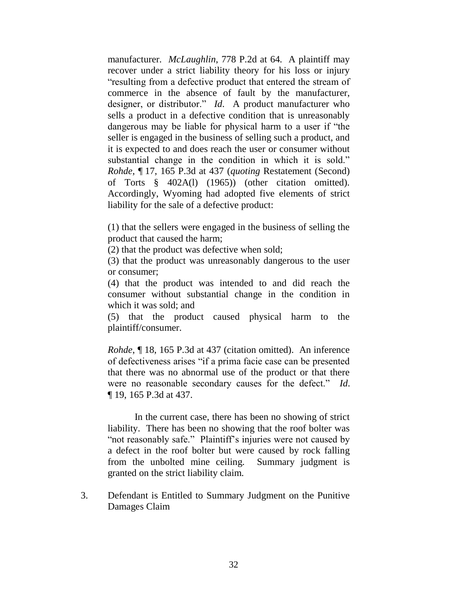manufacturer. *McLaughlin*, 778 P.2d at 64. A plaintiff may recover under a strict liability theory for his loss or injury "resulting from a defective product that entered the stream of commerce in the absence of fault by the manufacturer, designer, or distributor." *Id*. A product manufacturer who sells a product in a defective condition that is unreasonably dangerous may be liable for physical harm to a user if "the seller is engaged in the business of selling such a product, and it is expected to and does reach the user or consumer without substantial change in the condition in which it is sold." *Rohde*, ¶ 17, 165 P.3d at 437 (*quoting* Restatement (Second) of Torts § 402A(l) (1965)) (other citation omitted). Accordingly, Wyoming had adopted five elements of strict liability for the sale of a defective product:

(1) that the sellers were engaged in the business of selling the product that caused the harm;

(2) that the product was defective when sold;

(3) that the product was unreasonably dangerous to the user or consumer;

(4) that the product was intended to and did reach the consumer without substantial change in the condition in which it was sold; and

(5) that the product caused physical harm to the plaintiff/consumer.

*Rohde*, ¶ 18, 165 P.3d at 437 (citation omitted). An inference of defectiveness arises "if a prima facie case can be presented that there was no abnormal use of the product or that there were no reasonable secondary causes for the defect." *Id*. ¶ 19, 165 P.3d at 437.

In the current case, there has been no showing of strict liability. There has been no showing that the roof bolter was "not reasonably safe." Plaintiff"s injuries were not caused by a defect in the roof bolter but were caused by rock falling from the unbolted mine ceiling. Summary judgment is granted on the strict liability claim.

3. Defendant is Entitled to Summary Judgment on the Punitive Damages Claim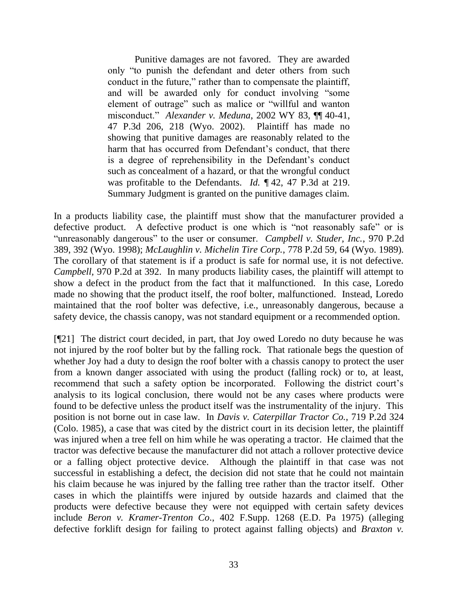Punitive damages are not favored. They are awarded only "to punish the defendant and deter others from such conduct in the future," rather than to compensate the plaintiff, and will be awarded only for conduct involving "some element of outrage" such as malice or "willful and wanton misconduct." *Alexander v. Meduna*, 2002 WY 83, ¶¶ 40-41, 47 P.3d 206, 218 (Wyo. 2002). Plaintiff has made no showing that punitive damages are reasonably related to the harm that has occurred from Defendant's conduct, that there is a degree of reprehensibility in the Defendant's conduct such as concealment of a hazard, or that the wrongful conduct was profitable to the Defendants. *Id.* ¶ 42, 47 P.3d at 219. Summary Judgment is granted on the punitive damages claim.

In a products liability case, the plaintiff must show that the manufacturer provided a defective product. A defective product is one which is "not reasonably safe" or is "unreasonably dangerous" to the user or consumer. *Campbell v. Studer, Inc.*, 970 P.2d 389, 392 (Wyo. 1998); *McLaughlin v. Michelin Tire Corp.*, 778 P.2d 59, 64 (Wyo. 1989). The corollary of that statement is if a product is safe for normal use, it is not defective. *Campbell,* 970 P.2d at 392. In many products liability cases, the plaintiff will attempt to show a defect in the product from the fact that it malfunctioned. In this case, Loredo made no showing that the product itself, the roof bolter, malfunctioned. Instead, Loredo maintained that the roof bolter was defective, i.e., unreasonably dangerous, because a safety device, the chassis canopy, was not standard equipment or a recommended option.

[¶21] The district court decided, in part, that Joy owed Loredo no duty because he was not injured by the roof bolter but by the falling rock. That rationale begs the question of whether Joy had a duty to design the roof bolter with a chassis canopy to protect the user from a known danger associated with using the product (falling rock) or to, at least, recommend that such a safety option be incorporated. Following the district court's analysis to its logical conclusion, there would not be any cases where products were found to be defective unless the product itself was the instrumentality of the injury. This position is not borne out in case law. In *Davis v. Caterpillar Tractor Co.*, 719 P.2d 324 (Colo. 1985), a case that was cited by the district court in its decision letter, the plaintiff was injured when a tree fell on him while he was operating a tractor. He claimed that the tractor was defective because the manufacturer did not attach a rollover protective device or a falling object protective device. Although the plaintiff in that case was not successful in establishing a defect, the decision did not state that he could not maintain his claim because he was injured by the falling tree rather than the tractor itself. Other cases in which the plaintiffs were injured by outside hazards and claimed that the products were defective because they were not equipped with certain safety devices include *Beron v. Kramer-Trenton Co*., 402 F.Supp. 1268 (E.D. Pa 1975) (alleging defective forklift design for failing to protect against falling objects) and *Braxton v.*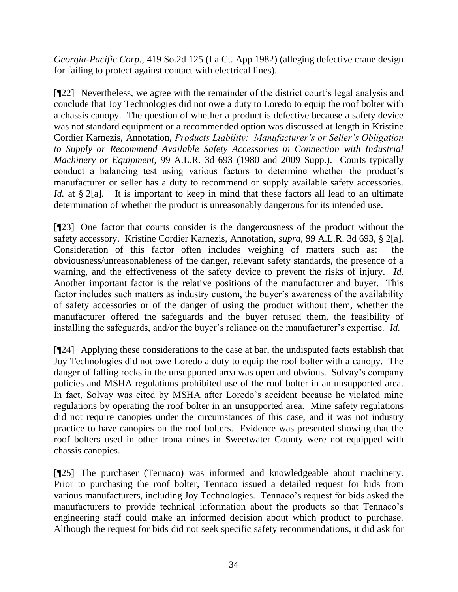*Georgia-Pacific Corp.*, 419 So.2d 125 (La Ct. App 1982) (alleging defective crane design for failing to protect against contact with electrical lines).

[¶22] Nevertheless, we agree with the remainder of the district court"s legal analysis and conclude that Joy Technologies did not owe a duty to Loredo to equip the roof bolter with a chassis canopy. The question of whether a product is defective because a safety device was not standard equipment or a recommended option was discussed at length in Kristine Cordier Karnezis, Annotation, *Products Liability: Manufacturer's or Seller's Obligation to Supply or Recommend Available Safety Accessories in Connection with Industrial Machinery or Equipment,* 99 A.L.R. 3d 693 (1980 and 2009 Supp.). Courts typically conduct a balancing test using various factors to determine whether the product's manufacturer or seller has a duty to recommend or supply available safety accessories. *Id.* at § 2[a]. It is important to keep in mind that these factors all lead to an ultimate determination of whether the product is unreasonably dangerous for its intended use.

[¶23] One factor that courts consider is the dangerousness of the product without the safety accessory. Kristine Cordier Karnezis, Annotation, *supra*, 99 A.L.R. 3d 693, § 2[a]. Consideration of this factor often includes weighing of matters such as: the obviousness/unreasonableness of the danger, relevant safety standards, the presence of a warning, and the effectiveness of the safety device to prevent the risks of injury. *Id.*  Another important factor is the relative positions of the manufacturer and buyer. This factor includes such matters as industry custom, the buyer's awareness of the availability of safety accessories or of the danger of using the product without them, whether the manufacturer offered the safeguards and the buyer refused them, the feasibility of installing the safeguards, and/or the buyer's reliance on the manufacturer's expertise. *Id.* 

[¶24] Applying these considerations to the case at bar, the undisputed facts establish that Joy Technologies did not owe Loredo a duty to equip the roof bolter with a canopy. The danger of falling rocks in the unsupported area was open and obvious. Solvay"s company policies and MSHA regulations prohibited use of the roof bolter in an unsupported area. In fact, Solvay was cited by MSHA after Loredo's accident because he violated mine regulations by operating the roof bolter in an unsupported area. Mine safety regulations did not require canopies under the circumstances of this case, and it was not industry practice to have canopies on the roof bolters. Evidence was presented showing that the roof bolters used in other trona mines in Sweetwater County were not equipped with chassis canopies.

[¶25] The purchaser (Tennaco) was informed and knowledgeable about machinery. Prior to purchasing the roof bolter, Tennaco issued a detailed request for bids from various manufacturers, including Joy Technologies. Tennaco"s request for bids asked the manufacturers to provide technical information about the products so that Tennaco"s engineering staff could make an informed decision about which product to purchase. Although the request for bids did not seek specific safety recommendations, it did ask for